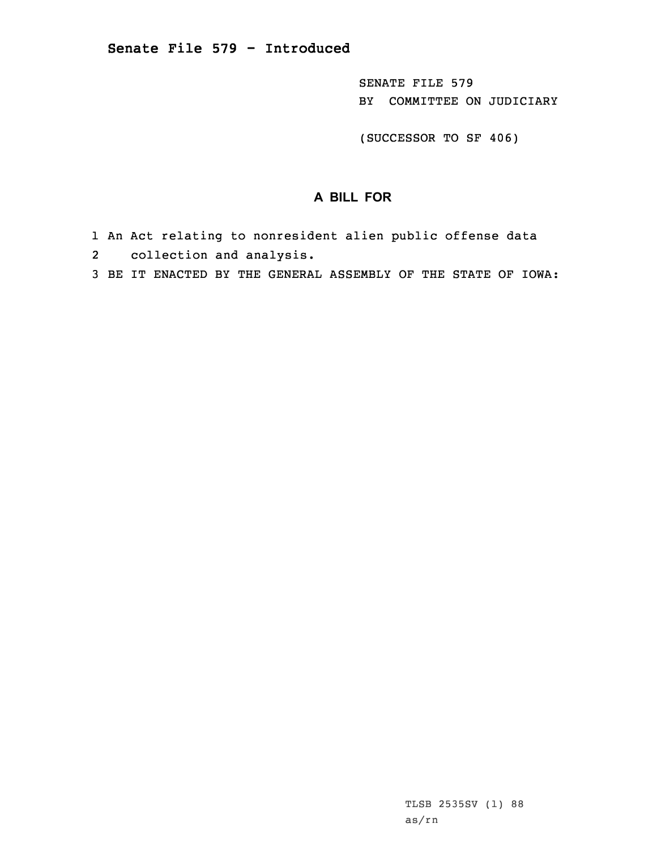SENATE FILE 579 BY COMMITTEE ON JUDICIARY

(SUCCESSOR TO SF 406)

## **A BILL FOR**

- 1 An Act relating to nonresident alien public offense data
- 2 collection and analysis.
- 3 BE IT ENACTED BY THE GENERAL ASSEMBLY OF THE STATE OF IOWA: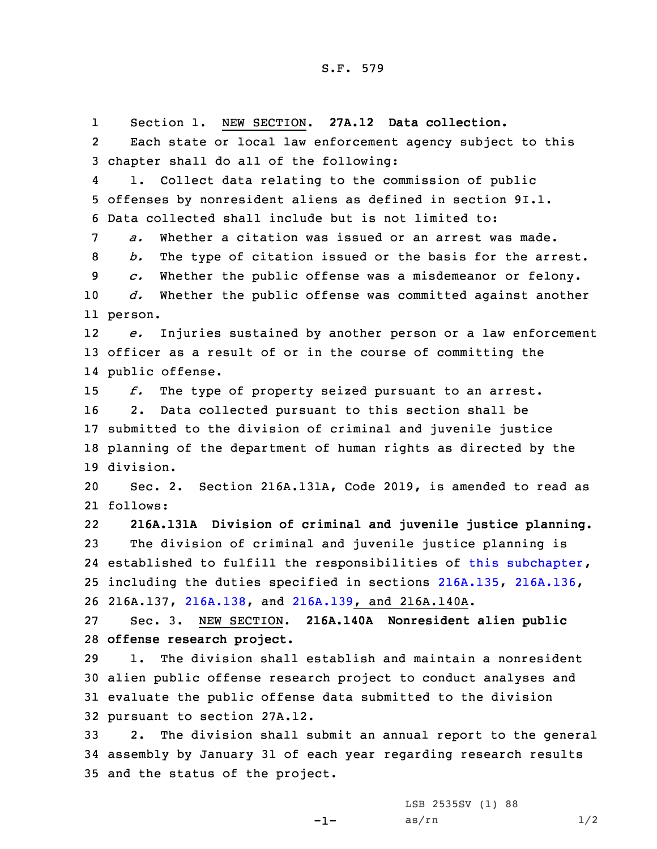1 Section 1. NEW SECTION. **27A.12 Data collection.** 2 Each state or local law enforcement agency subject to this chapter shall do all of the following: 4 1. Collect data relating to the commission of public offenses by nonresident aliens as defined in section 9I.1. Data collected shall include but is not limited to: *a.* Whether <sup>a</sup> citation was issued or an arrest was made. *b.* The type of citation issued or the basis for the arrest. *c.* Whether the public offense was <sup>a</sup> misdemeanor or felony. *d.* Whether the public offense was committed against another 11 person. 12 *e.* Injuries sustained by another person or <sup>a</sup> law enforcement officer as <sup>a</sup> result of or in the course of committing the public offense. *f.* The type of property seized pursuant to an arrest. 2. Data collected pursuant to this section shall be submitted to the division of criminal and juvenile justice planning of the department of human rights as directed by the division. Sec. 2. Section 216A.131A, Code 2019, is amended to read as 21 follows: 22 **216A.131A Division of criminal and juvenile justice planning.** The division of criminal and juvenile justice planning is 24 established to fulfill the responsibilities of this [subchapter](https://www.legis.iowa.gov/docs/code/2019/216A.pdf), including the duties specified in sections [216A.135](https://www.legis.iowa.gov/docs/code/2019/216A.135.pdf), [216A.136](https://www.legis.iowa.gov/docs/code/2019/216A.136.pdf), 216A.137, [216A.138](https://www.legis.iowa.gov/docs/code/2019/216A.138.pdf), and [216A.139](https://www.legis.iowa.gov/docs/code/2019/216A.139.pdf), and 216A.140A. Sec. 3. NEW SECTION. **216A.140A Nonresident alien public offense research project.** 1. The division shall establish and maintain <sup>a</sup> nonresident alien public offense research project to conduct analyses and evaluate the public offense data submitted to the division pursuant to section 27A.12. 2. The division shall submit an annual report to the general assembly by January 31 of each year regarding research results and the status of the project.

-1-

LSB 2535SV (1) 88  $as/rn$   $1/2$